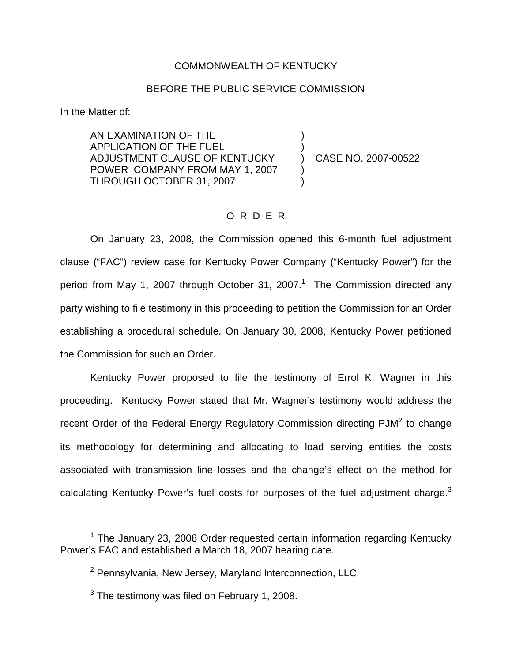### COMMONWEALTH OF KENTUCKY

### BEFORE THE PUBLIC SERVICE COMMISSION

In the Matter of:

AN EXAMINATION OF THE ) APPLICATION OF THE FUEL ) ADJUSTMENT CLAUSE OF KENTUCKY  $\overrightarrow{)}$  CASE NO. 2007-00522 POWER COMPANY FROM MAY 1, 2007 THROUGH OCTOBER 31, 2007 )

## O R D E R

On January 23, 2008, the Commission opened this 6-month fuel adjustment clause ("FAC") review case for Kentucky Power Company ("Kentucky Power") for the period from May 1, 2007 through October 31, 2007.<sup>1</sup> The Commission directed any party wishing to file testimony in this proceeding to petition the Commission for an Order establishing a procedural schedule. On January 30, 2008, Kentucky Power petitioned the Commission for such an Order.

Kentucky Power proposed to file the testimony of Errol K. Wagner in this proceeding. Kentucky Power stated that Mr. Wagner's testimony would address the recent Order of the Federal Energy Regulatory Commission directing PJM<sup>2</sup> to change its methodology for determining and allocating to load serving entities the costs associated with transmission line losses and the change's effect on the method for calculating Kentucky Power's fuel costs for purposes of the fuel adjustment charge.<sup>3</sup>

 $1$  The January 23, 2008 Order requested certain information regarding Kentucky Power's FAC and established a March 18, 2007 hearing date.

<sup>2</sup> Pennsylvania, New Jersey, Maryland Interconnection, LLC.

 $3$  The testimony was filed on February 1, 2008.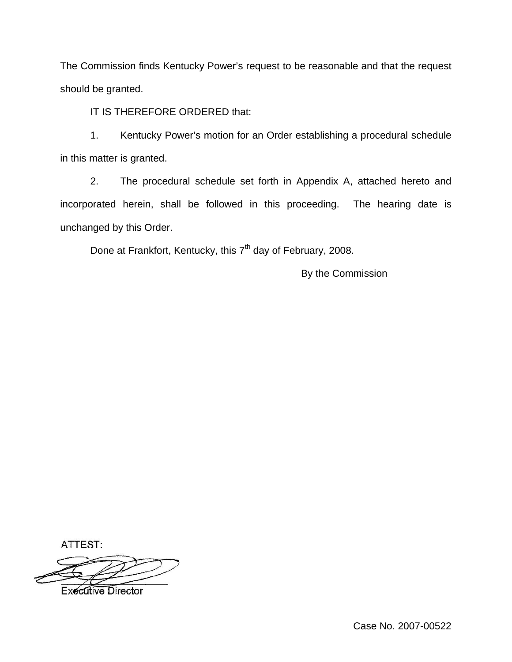The Commission finds Kentucky Power's request to be reasonable and that the request should be granted.

IT IS THEREFORE ORDERED that:

1. Kentucky Power's motion for an Order establishing a procedural schedule in this matter is granted.

2. The procedural schedule set forth in Appendix A, attached hereto and incorporated herein, shall be followed in this proceeding. The hearing date is unchanged by this Order.

Done at Frankfort, Kentucky, this 7<sup>th</sup> day of February, 2008.

By the Commission

ATTEST:



**Executive Director**